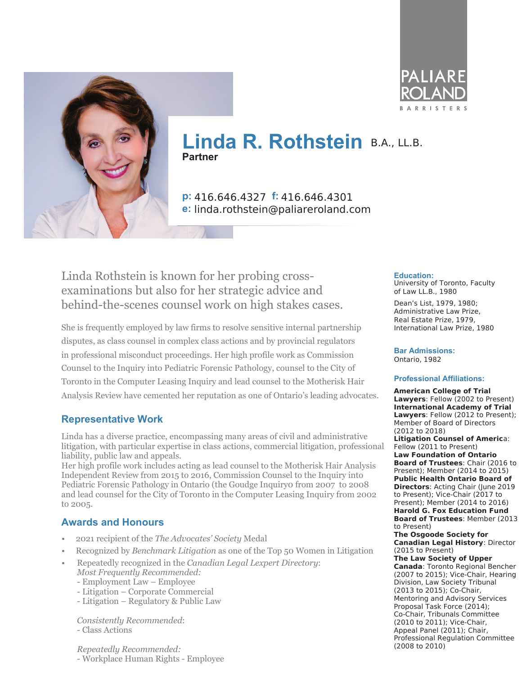



# **Linda R. Rothstein** B.A., LL.B. **Partner**

**p:** 416.646.4327 **f:** 416.646.4301 **e:** linda.rothstein@paliareroland.com

Linda Rothstein is known for her probing crossexaminations but also for her strategic advice and behind-the-scenes counsel work on high stakes cases.

She is frequently employed by law firms to resolve sensitive internal partnership disputes, as class counsel in complex class actions and by provincial regulators in professional misconduct proceedings. Her high profile work as Commission Counsel to the Inquiry into Pediatric Forensic Pathology, counsel to the City of Toronto in the Computer Leasing Inquiry and lead counsel to the Motherisk Hair Analysis Review have cemented her reputation as one of Ontario's leading advocates.

#### **Representative Work**

Linda has a diverse practice, encompassing many areas of civil and administrative litigation, with particular expertise in class actions, commercial litigation, professional liability, public law and appeals.

Her high profile work includes acting as lead counsel to the Motherisk Hair Analysis Independent Review from 2015 to 2016, Commission Counsel to the Inquiry into Pediatric Forensic Pathology in Ontario (the Goudge Inquiry0 from 2007 to 2008 and lead counsel for the City of Toronto in the Computer Leasing Inquiry from 2002 to 2005.

### **Awards and Honours**

- 2021 recipient of the *The Advocates' Society* Medal
- Recognized by *Benchmark Litigation* as one of the Top 50 Women in Litigation
- Repeatedly recognized in the *Canadian Legal Lexpert Directory*: *Most Frequently Recommended:*
	- Employment Law Employee
	- Litigation Corporate Commercial
	- Litigation Regulatory & Public Law

*Consistently Recommended*: - Class Actions

*Repeatedly Recommended:* - Workplace Human Rights - Employee

#### **Education:**

University of Toronto, Faculty of Law LL.B., 1980

Dean's List, 1979, 1980; Administrative Law Prize, Real Estate Prize, 1979, International Law Prize, 1980

**Bar Admissions:** Ontario, 1982

#### **Professional Affiliations:**

**American College of Trial Lawyers**: Fellow (2002 to Present) **International Academy of Trial Lawyers**: Fellow (2012 to Present); Member of Board of Directors (2012 to 2018) **Litigation Counsel of Americ**a: Fellow (2011 to Present) **Law Foundation of Ontario Board of Trustees**: Chair (2016 to Present); Member (2014 to 2015) **Public Health Ontario Board of Directors**: Acting Chair (June 2019 to Present); Vice-Chair (2017 to Present); Member (2014 to 2016) **Harold G. Fox Education Fund Board of Trustees**: Member (2013 to Present) **The Osgoode Society for Canadian Legal History**: Director (2015 to Present) **The Law Society of Upper Canada**: Toronto Regional Bencher (2007 to 2015); Vice-Chair, Hearing Division, Law Society Tribunal (2013 to 2015); Co-Chair, Mentoring and Advisory Services Proposal Task Force (2014); Co-Chair, Tribunals Committee (2010 to 2011); Vice-Chair, Appeal Panel (2011); Chair, Professional Regulation Committee (2008 to 2010)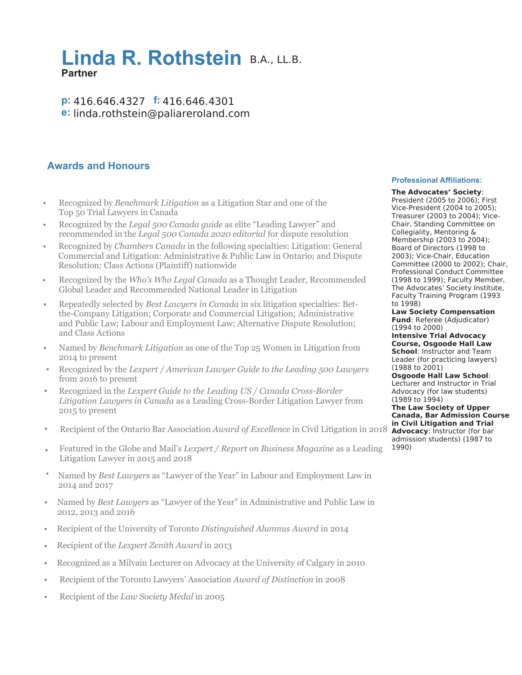## **Linda R. Rothstein** B.A., LL.B. **Partner**

**p:** 416.646.4327 **f:** 416.646.4301 **e:** linda.rothstein@paliareroland.com

### **Awards and Honours**

- Recognized by *Benchmark Litigation* as a Litigation Star and one of the Top 50 Trial Lawyers in Canada •
- Recognized by the *Legal 500 Canada guide* as elite "Leading Lawyer" and recommended in the *Legal 500 Canada 2020 editorial* for dispute resolution
- Recognized by *Chambers Canada* in the following specialties: Litigation: General Commercial and Litigation: Administrative & Public Law in Ontario; and Dispute Resolution: Class Actions (Plaintiff) nationwide •
- Recognized by the *Who's Who Legal Canada* as a Thought Leader, Recommended Global Leader and Recommended National Leader in Litigation
- Repeatedly selected by *Best Lawyers in Canada* in six litigation specialties: Betthe-Company Litigation; Corporate and Commercial Litigation; Administrative and Public Law; Labour and Employment Law; Alternative Dispute Resolution; and Class Actions •
- Named by *Benchmark Litigation* as one of the Top 25 Women in Litigation from 2014 to present
- Recognized by the *Lexpert / American Lawyer Guide to the Leading 500 Lawyers* from 2016 to present
- Recognized in the *Lexpert Guide to the Leading US / Canada Cross-Border Litigation Lawyers in Canada* as a Leading Cross-Border Litigation Lawyer from 2015 to present •
- Recipient of the Ontario Bar Association *Award of Excellence* in Civil Litigation in 2018 **Advocacy**: Instructor (for bar •
- Featured in the Globe and Mail's *Lexpert / Report on Business Magazine* as a Leading Litigation Lawyer in 2015 and 2018
- Named by *Best Lawyers* as "Lawyer of the Year" in Labour and Employment Law in 2014 and 2017
- Named by *Best Lawyers* as "Lawyer of the Year" in Administrative and Public Law in 2012, 2013 and 2016
- Recipient of the University of Toronto *Distinguished Alumnus Award* in 2014
- Recipient of the *Lexpert Zenith Award* in 2013
- Recognized as a Milvain Lecturer on Advocacy at the University of Calgary in 2010
- Recipient of the Toronto Lawyers' Association *Award of Distinction* in 2008 •
- Recipient of the *Law Society Medal* in 2005 •

#### **Professional Affiliations:**

**The Advocates' Society**: President (2005 to 2006); First Vice-President (2004 to 2005); Treasurer (2003 to 2004); Vice-Chair, Standing Committee on Collegiality, Mentoring & Membership (2003 to 2004); Board of Directors (1998 to 2003); Vice-Chair, Education Committee (2000 to 2002); Chair, Professional Conduct Committee (1998 to 1999); Faculty Member, The Advocates' Society Institute, Faculty Training Program (1993 to 1998)

**Law Society Compensation Fund**: Referee (Adjudicator) (1994 to 2000)

**Intensive Trial Advocacy Course, Osgoode Hall Law School**: Instructor and Team Leader (for practicing lawyers) (1988 to 2001)

**Osgoode Hall Law School**: Lecturer and Instructor in Trial Advocacy (for law students) (1989 to 1994)

**The Law Society of Upper Canada, Bar Admission Course in Civil Litigation and Trial** admission students) (1987 to 1990)